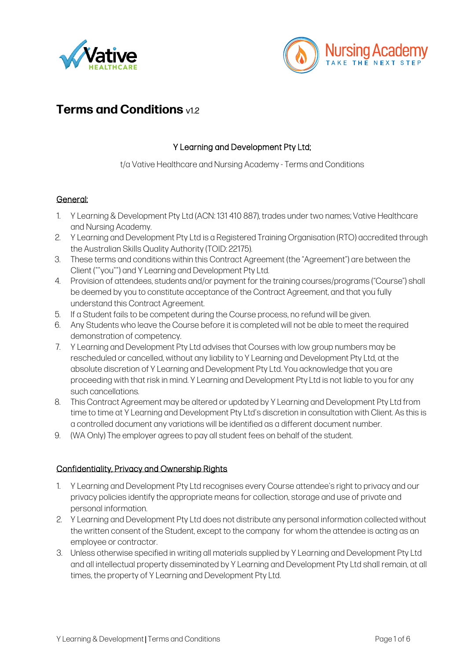



# **Terms and Conditions** v1.<sup>2</sup>

## Y Learning and Development Pty Ltd;

t/a Vative Healthcare and Nursing Academy - Terms and Conditions

#### General:

- 1. Y Learning & Development Pty Ltd (ACN: 131 410 887), trades under two names; Vative Healthcare and Nursing Academy.
- 2. Y Learning and Development Pty Ltd is a Registered Training Organisation (RTO) accredited through the Australian Skills Quality Authority (TOID: 22175).
- 3. These terms and conditions within this Contract Agreement (the "Agreement") are between the Client (""you"") and Y Learning and Development Pty Ltd.
- 4. Provision of attendees, students and/or payment for the training courses/programs ("Course") shall be deemed by you to constitute acceptance of the Contract Agreement, and that you fully understand this Contract Agreement.
- 5. If a Student fails to be competent during the Course process, no refund will be given.
- 6. Any Students who leave the Course before it is completed will not be able to meet the required demonstration of competency.
- 7. Y Learning and Development Pty Ltd advises that Courses with low group numbers may be rescheduled or cancelled, without any liability to Y Learning and Development Pty Ltd, at the absolute discretion of Y Learning and Development Pty Ltd. You acknowledge that you are proceeding with that risk in mind. Y Learning and Development Pty Ltd is not liable to you for any such cancellations.
- 8. This Contract Agreement may be altered or updated by Y Learning and Development Pty Ltd from time to time at Y Learning and Development Pty Ltd's discretion in consultation with Client. As this is a controlled document any variations will be identified as a different document number.
- 9. (WA Only) The employer agrees to pay all student fees on behalf of the student.

#### Confidentiality, Privacy and Ownership Rights

- 1. Y Learning and Development Pty Ltd recognises every Course attendee's right to privacy and our privacy policies identify the appropriate means for collection, storage and use of private and personal information.
- 2. Y Learning and Development Pty Ltd does not distribute any personal information collected without the written consent of the Student, except to the company for whom the attendee is acting as an employee or contractor.
- 3. Unless otherwise specified in writing all materials supplied by Y Learning and Development Pty Ltd and all intellectual property disseminated by Y Learning and Development Pty Ltd shall remain, at all times, the property of Y Learning and Development Pty Ltd.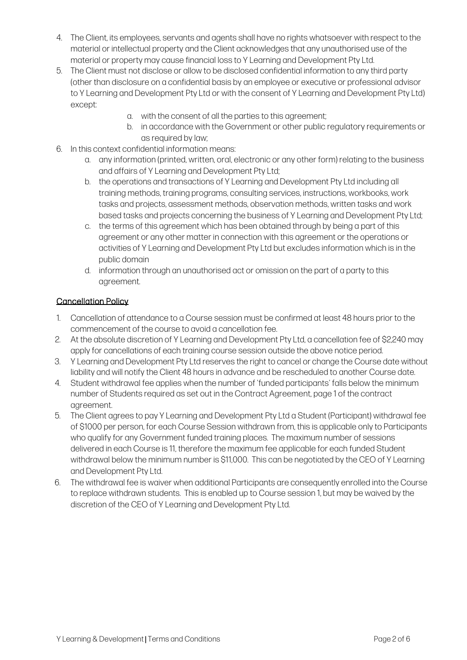- 4. The Client, its employees, servants and agents shall have no rights whatsoever with respect to the material or intellectual property and the Client acknowledges that any unauthorised use of the material or property may cause financial loss to Y Learning and Development Pty Ltd.
- 5. The Client must not disclose or allow to be disclosed confidential information to any third party (other than disclosure on a confidential basis by an employee or executive or professional advisor to Y Learning and Development Pty Ltd or with the consent of Y Learning and Development Pty Ltd) except:
	- a. with the consent of all the parties to this agreement;
	- b. in accordance with the Government or other public regulatory requirements or as required by law;
- 6. In this context confidential information means:
	- a. any information (printed, written, oral, electronic or any other form) relating to the business and affairs of Y Learning and Development Pty Ltd;
	- b. the operations and transactions of Y Learning and Development Pty Ltd including all training methods, training programs, consulting services, instructions, workbooks, work tasks and projects, assessment methods, observation methods, written tasks and work based tasks and projects concerning the business of Y Learning and Development Pty Ltd;
	- c. the terms of this agreement which has been obtained through by being a part of this agreement or any other matter in connection with this agreement or the operations or activities of Y Learning and Development Pty Ltd but excludes information which is in the public domain
	- d. information through an unauthorised act or omission on the part of a party to this agreement.

## Cancellation Policy

- 1. Cancellation of attendance to a Course session must be confirmed at least 48 hours prior to the commencement of the course to avoid a cancellation fee.
- 2. At the absolute discretion of Y Learning and Development Pty Ltd, a cancellation fee of \$2,240 may apply for cancellations of each training course session outside the above notice period.
- 3. Y Learning and Development Pty Ltd reserves the right to cancel or change the Course date without liability and will notify the Client 48 hours in advance and be rescheduled to another Course date.
- 4. Student withdrawal fee applies when the number of 'funded participants' falls below the minimum number of Students required as set out in the Contract Agreement, page 1 of the contract agreement.
- 5. The Client agrees to pay Y Learning and Development Pty Ltd a Student (Participant) withdrawal fee of \$1000 per person, for each Course Session withdrawn from, this is applicable only to Participants who qualify for any Government funded training places. The maximum number of sessions delivered in each Course is 11, therefore the maximum fee applicable for each funded Student withdrawal below the minimum number is \$11,000. This can be negotiated by the CEO of Y Learning and Development Pty Ltd.
- 6. The withdrawal fee is waiver when additional Participants are consequently enrolled into the Course to replace withdrawn students. This is enabled up to Course session 1, but may be waived by the discretion of the CEO of Y Learning and Development Pty Ltd.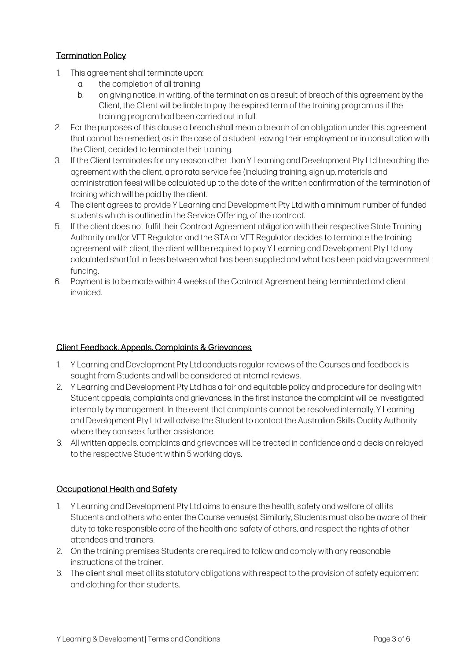## Termination Policy

- 1. This agreement shall terminate upon:
	- a. the completion of all training
	- b. on giving notice, in writing, of the termination as a result of breach of this agreement by the Client, the Client will be liable to pay the expired term of the training program as if the training program had been carried out in full.
- 2. For the purposes of this clause a breach shall mean a breach of an obligation under this agreement that cannot be remedied; as in the case of a student leaving their employment or in consultation with the Client, decided to terminate their training.
- 3. If the Client terminates for any reason other than Y Learning and Development Pty Ltd breaching the agreement with the client, a pro rata service fee (including training, sign up, materials and administration fees) will be calculated up to the date of the written confirmation of the termination of training which will be paid by the client.
- 4. The client agrees to provide Y Learning and Development Pty Ltd with a minimum number of funded students which is outlined in the Service Offering, of the contract.
- 5. If the client does not fulfil their Contract Agreement obligation with their respective State Training Authority and/or VET Regulator and the STA or VET Regulator decides to terminate the training agreement with client, the client will be required to pay Y Learning and Development Pty Ltd any calculated shortfall in fees between what has been supplied and what has been paid via government funding.
- 6. Payment is to be made within 4 weeks of the Contract Agreement being terminated and client invoiced.

## Client Feedback, Appeals, Complaints & Grievances

- 1. Y Learning and Development Pty Ltd conducts regular reviews of the Courses and feedback is sought from Students and will be considered at internal reviews.
- 2. Y Learning and Development Pty Ltd has a fair and equitable policy and procedure for dealing with Student appeals, complaints and grievances. In the first instance the complaint will be investigated internally by management. In the event that complaints cannot be resolved internally, Y Learning and Development Pty Ltd will advise the Student to contact the Australian Skills Quality Authority where they can seek further assistance.
- 3. All written appeals, complaints and grievances will be treated in confidence and a decision relayed to the respective Student within 5 working days.

## Occupational Health and Safety

- 1. Y Learning and Development Pty Ltd aims to ensure the health, safety and welfare of all its Students and others who enter the Course venue(s). Similarly, Students must also be aware of their duty to take responsible care of the health and safety of others, and respect the rights of other attendees and trainers.
- 2. On the training premises Students are required to follow and comply with any reasonable instructions of the trainer.
- 3. The client shall meet all its statutory obligations with respect to the provision of safety equipment and clothing for their students.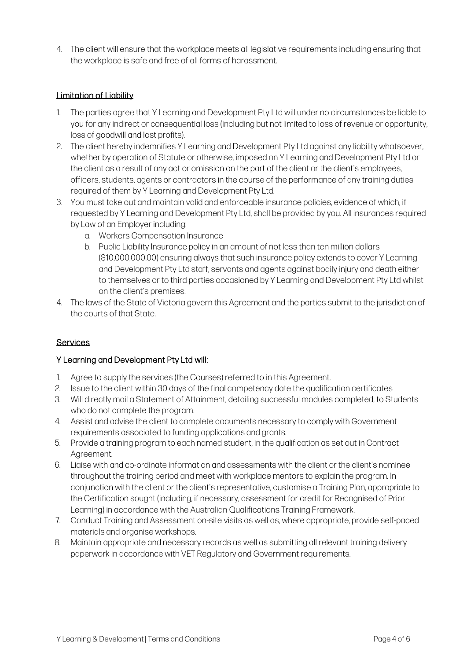4. The client will ensure that the workplace meets all legislative requirements including ensuring that the workplace is safe and free of all forms of harassment.

#### Limitation of Liability

- 1. The parties agree that Y Learning and Development Pty Ltd will under no circumstances be liable to you for any indirect or consequential loss (including but not limited to loss of revenue or opportunity, loss of goodwill and lost profits).
- 2. The client hereby indemnifies Y Learning and Development Pty Ltd against any liability whatsoever, whether by operation of Statute or otherwise, imposed on Y Learning and Development Pty Ltd or the client as a result of any act or omission on the part of the client or the client's employees, officers, students, agents or contractors in the course of the performance of any training duties required of them by Y Learning and Development Pty Ltd.
- 3. You must take out and maintain valid and enforceable insurance policies, evidence of which, if requested by Y Learning and Development Pty Ltd, shall be provided by you. All insurances required by Law of an Employer including:
	- a. Workers Compensation Insurance
	- b. Public Liability Insurance policy in an amount of not less than ten million dollars (\$10,000,000.00) ensuring always that such insurance policy extends to cover Y Learning and Development Pty Ltd staff, servants and agents against bodily injury and death either to themselves or to third parties occasioned by Y Learning and Development Pty Ltd whilst on the client's premises.
- 4. The laws of the State of Victoria govern this Agreement and the parties submit to the jurisdiction of the courts of that State.

## **Services**

## Y Learning and Development Pty Ltd will:

- 1. Agree to supply the services (the Courses) referred to in this Agreement.
- 2. Issue to the client within 30 days of the final competency date the qualification certificates
- 3. Will directly mail a Statement of Attainment, detailing successful modules completed, to Students who do not complete the program.
- 4. Assist and advise the client to complete documents necessary to comply with Government requirements associated to funding applications and grants.
- 5. Provide a training program to each named student, in the qualification as set out in Contract Agreement.
- 6. Liaise with and co-ordinate information and assessments with the client or the client's nominee throughout the training period and meet with workplace mentors to explain the program. In conjunction with the client or the client's representative, customise a Training Plan, appropriate to the Certification sought (including, if necessary, assessment for credit for Recognised of Prior Learning) in accordance with the Australian Qualifications Training Framework.
- 7. Conduct Training and Assessment on-site visits as well as, where appropriate, provide self-paced materials and organise workshops.
- 8. Maintain appropriate and necessary records as well as submitting all relevant training delivery paperwork in accordance with VET Regulatory and Government requirements.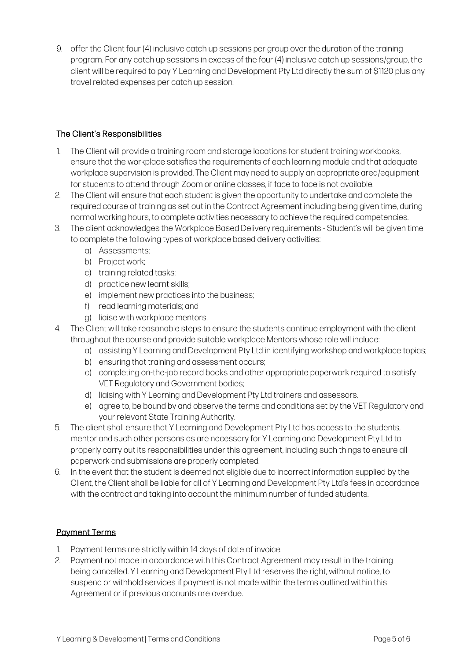9. offer the Client four (4) inclusive catch up sessions per group over the duration of the training program. For any catch up sessions in excess of the four (4) inclusive catch up sessions/group, the client will be required to pay Y Learning and Development Pty Ltd directly the sum of \$1120 plus any travel related expenses per catch up session.

## The Client's Responsibilities

- 1. The Client will provide a training room and storage locations for student training workbooks, ensure that the workplace satisfies the requirements of each learning module and that adequate workplace supervision is provided. The Client may need to supply an appropriate area/equipment for students to attend through Zoom or online classes, if face to face is not available.
- 2. The Client will ensure that each student is given the opportunity to undertake and complete the required course of training as set out in the Contract Agreement including being given time, during normal working hours, to complete activities necessary to achieve the required competencies.
- 3. The client acknowledges the Workplace Based Delivery requirements Student's will be given time to complete the following types of workplace based delivery activities:
	- a) Assessments;
	- b) Project work:
	- c) training related tasks;
	- d) practice new learnt skills;
	- e) implement new practices into the business;
	- f) read learning materials; and
	- g) liaise with workplace mentors.
- 4. The Client will take reasonable steps to ensure the students continue employment with the client throughout the course and provide suitable workplace Mentors whose role will include:
	- a) assisting Y Learning and Development Pty Ltd in identifying workshop and workplace topics;
	- b) ensuring that training and assessment occurs;
	- c) completing on-the-job record books and other appropriate paperwork required to satisfy VET Regulatory and Government bodies;
	- d) liaising with Y Learning and Development Pty Ltd trainers and assessors.
	- e) agree to, be bound by and observe the terms and conditions set by the VET Regulatory and your relevant State Training Authority.
- 5. The client shall ensure that Y Learning and Development Pty Ltd has access to the students, mentor and such other persons as are necessary for Y Learning and Development Pty Ltd to properly carry out its responsibilities under this agreement, including such things to ensure all paperwork and submissions are properly completed.
- 6. In the event that the student is deemed not eligible due to incorrect information supplied by the Client, the Client shall be liable for all of Y Learning and Development Pty Ltd's fees in accordance with the contract and taking into account the minimum number of funded students.

## Payment Terms

- 1. Payment terms are strictly within 14 days of date of invoice.
- 2. Payment not made in accordance with this Contract Agreement may result in the training being cancelled. Y Learning and Development Pty Ltd reserves the right, without notice, to suspend or withhold services if payment is not made within the terms outlined within this Agreement or if previous accounts are overdue.